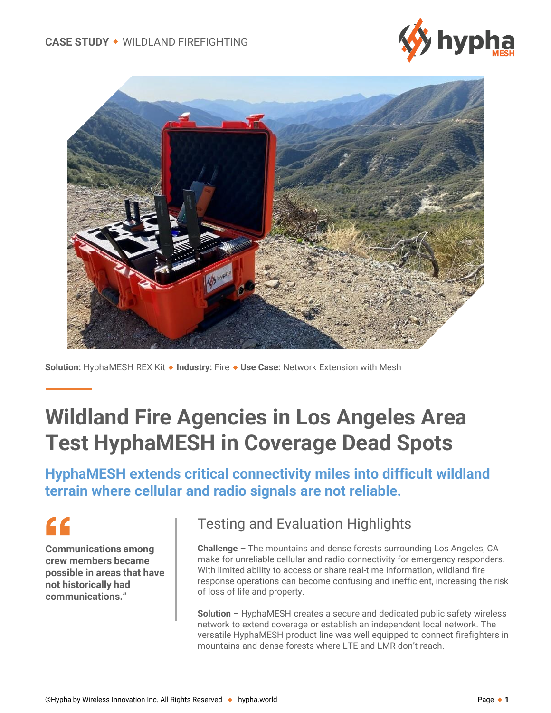



**Solution:** HyphaMESH REX Kit ◆ Industry: Fire ◆ Use Case: Network Extension with Mesh

# **Wildland Fire Agencies in Los Angeles Area Test HyphaMESH in Coverage Dead Spots**

**HyphaMESH extends critical connectivity miles into difficult wildland terrain where cellular and radio signals are not reliable.** 

# $\epsilon$

**Communications among crew members became possible in areas that have not historically had communications."**

#### Testing and Evaluation Highlights

**Challenge –** The mountains and dense forests surrounding Los Angeles, CA make for unreliable cellular and radio connectivity for emergency responders. With limited ability to access or share real-time information, wildland fire response operations can become confusing and inefficient, increasing the risk of loss of life and property.

**Solution –** HyphaMESH creates a secure and dedicated public safety wireless network to extend coverage or establish an independent local network. The versatile HyphaMESH product line was well equipped to connect firefighters in mountains and dense forests where LTE and LMR don't reach.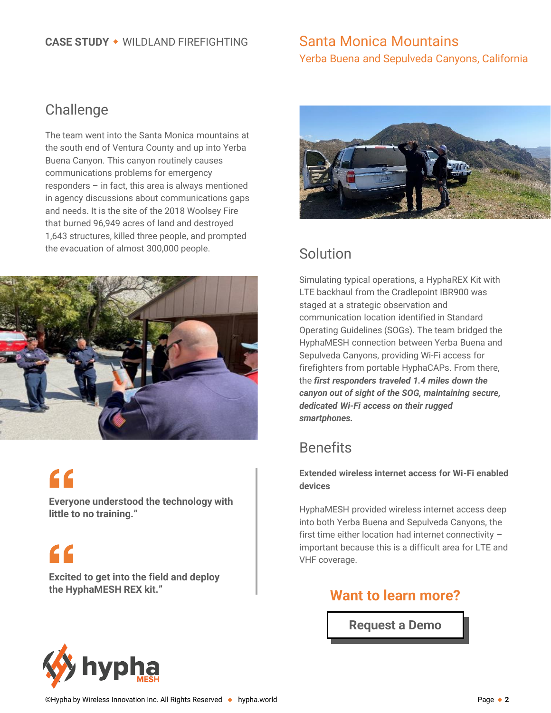## Santa Monica Mountains Yerba Buena and Sepulveda Canyons, California

### Challenge

The team went into the Santa Monica mountains at the south end of Ventura County and up into Yerba Buena Canyon. This canyon routinely causes communications problems for emergency responders – in fact, this area is always mentioned in agency discussions about communications gaps and needs. It is the site of the 2018 Woolsey Fire that burned 96,949 acres of land and destroyed 1,643 structures, killed three people, and prompted the evacuation of almost 300,000 people.



# $\epsilon$

**Everyone understood the technology with little to no training."** 

 $\epsilon$ 

**Excited to get into the field and deploy the HyphaMESH REX kit." Want to learn more?**



## Solution

Simulating typical operations, a HyphaREX Kit with LTE backhaul from the Cradlepoint IBR900 was staged at a strategic observation and communication location identified in Standard Operating Guidelines (SOGs). The team bridged the HyphaMESH connection between Yerba Buena and Sepulveda Canyons, providing Wi-Fi access for firefighters from portable HyphaCAPs. From there, the *first responders traveled 1.4 miles down the canyon out of sight of the SOG, maintaining secure, dedicated Wi-Fi access on their rugged smartphones.* 

# **Benefits**

**Extended wireless internet access for Wi-Fi enabled devices**

HyphaMESH provided wireless internet access deep into both Yerba Buena and Sepulveda Canyons, the first time either location had internet connectivity – important because this is a difficult area for LTE and VHF coverage.

**[Request a Demo](https://us.hypha.world/demo-request)**

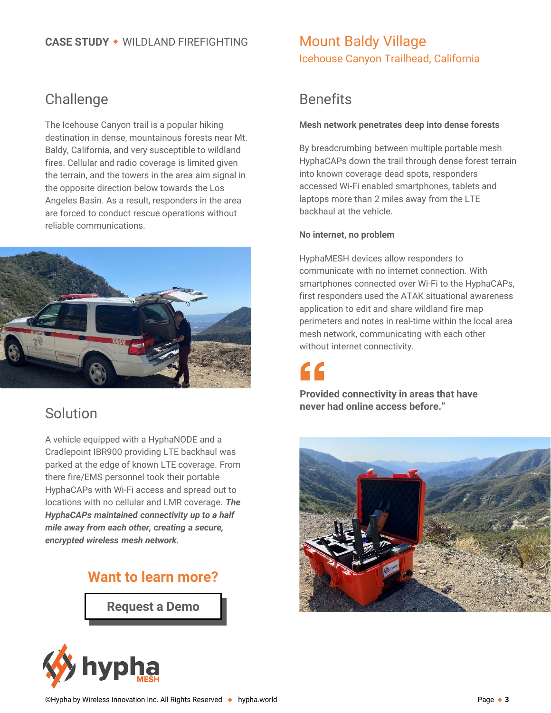## **Challenge**

The Icehouse Canyon trail is a popular hiking destination in dense, mountainous forests near Mt. Baldy, California, and very susceptible to wildland fires. Cellular and radio coverage is limited given the terrain, and the towers in the area aim signal in the opposite direction below towards the Los Angeles Basin. As a result, responders in the area are forced to conduct rescue operations without reliable communications.



### Solution

A vehicle equipped with a HyphaNODE and a Cradlepoint IBR900 providing LTE backhaul was parked at the edge of known LTE coverage. From there fire/EMS personnel took their portable HyphaCAPs with Wi-Fi access and spread out to locations with no cellular and LMR coverage. *The HyphaCAPs maintained connectivity up to a half mile away from each other, creating a secure, encrypted wireless mesh network.* 

#### **Want to learn more?**

**[Request a Demo](https://us.hypha.world/demo-request)**



### Mount Baldy Village Icehouse Canyon Trailhead, California

# **Benefits**

#### **Mesh network penetrates deep into dense forests**

By breadcrumbing between multiple portable mesh HyphaCAPs down the trail through dense forest terrain into known coverage dead spots, responders accessed Wi-Fi enabled smartphones, tablets and laptops more than 2 miles away from the LTE backhaul at the vehicle.

#### **No internet, no problem**

HyphaMESH devices allow responders to communicate with no internet connection. With smartphones connected over Wi-Fi to the HyphaCAPs, first responders used the ATAK situational awareness application to edit and share wildland fire map perimeters and notes in real-time within the local area mesh network, communicating with each other without internet connectivity.

**Provided connectivity in areas that have never had online access before."**